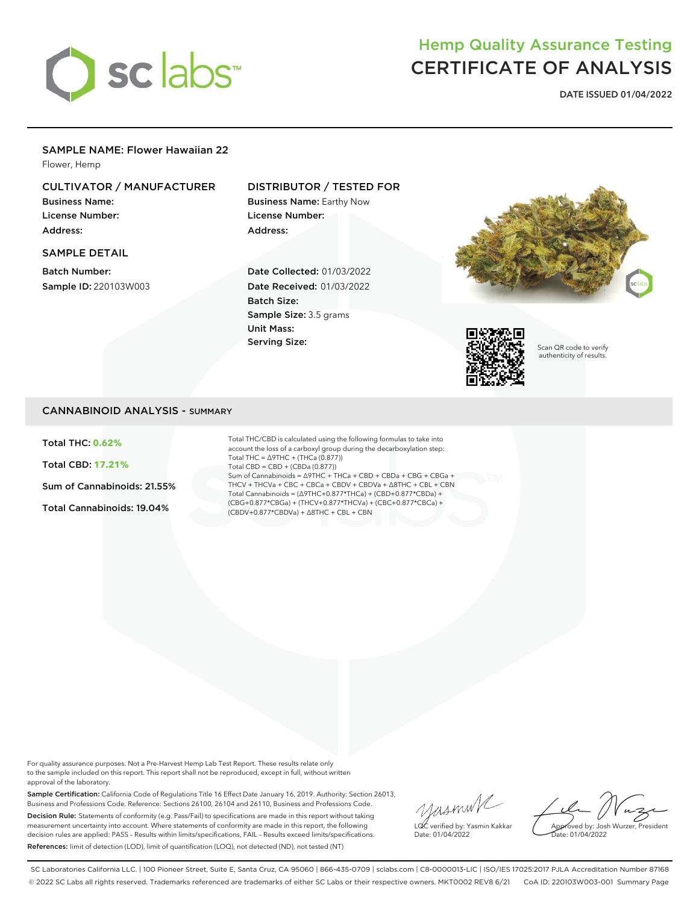

# Hemp Quality Assurance Testing CERTIFICATE OF ANALYSIS

**DATE ISSUED 01/04/2022**

### SAMPLE NAME: Flower Hawaiian 22

Flower, Hemp

## CULTIVATOR / MANUFACTURER

Business Name: License Number: Address:

### SAMPLE DETAIL

Batch Number: Sample ID: 220103W003

## DISTRIBUTOR / TESTED FOR

Business Name: Earthy Now License Number: Address:

Date Collected: 01/03/2022 Date Received: 01/03/2022 Batch Size: Sample Size: 3.5 grams Unit Mass: Serving Size:





Scan QR code to verify authenticity of results.

## CANNABINOID ANALYSIS - SUMMARY

Total THC: **0.62%**

Total CBD: **17.21%**

Sum of Cannabinoids: 21.55%

Total Cannabinoids: 19.04%

Total THC/CBD is calculated using the following formulas to take into account the loss of a carboxyl group during the decarboxylation step: Total THC = ∆9THC + (THCa (0.877)) Total CBD = CBD + (CBDa (0.877)) Sum of Cannabinoids = ∆9THC + THCa + CBD + CBDa + CBG + CBGa + THCV + THCVa + CBC + CBCa + CBDV + CBDVa + ∆8THC + CBL + CBN Total Cannabinoids = (∆9THC+0.877\*THCa) + (CBD+0.877\*CBDa) + (CBG+0.877\*CBGa) + (THCV+0.877\*THCVa) + (CBC+0.877\*CBCa) + (CBDV+0.877\*CBDVa) + ∆8THC + CBL + CBN

For quality assurance purposes. Not a Pre-Harvest Hemp Lab Test Report. These results relate only to the sample included on this report. This report shall not be reproduced, except in full, without written approval of the laboratory.

Sample Certification: California Code of Regulations Title 16 Effect Date January 16, 2019. Authority: Section 26013, Business and Professions Code. Reference: Sections 26100, 26104 and 26110, Business and Professions Code. Decision Rule: Statements of conformity (e.g. Pass/Fail) to specifications are made in this report without taking measurement uncertainty into account. Where statements of conformity are made in this report, the following decision rules are applied: PASS – Results within limits/specifications, FAIL – Results exceed limits/specifications. References: limit of detection (LOD), limit of quantification (LOQ), not detected (ND), not tested (NT)

yusmink LQC verified by: Yasmin Kakkar Date: 01/04/2022

Approved by: Josh Wurzer, President Date: 01/04/2022

SC Laboratories California LLC. | 100 Pioneer Street, Suite E, Santa Cruz, CA 95060 | 866-435-0709 | sclabs.com | C8-0000013-LIC | ISO/IES 17025:2017 PJLA Accreditation Number 87168 © 2022 SC Labs all rights reserved. Trademarks referenced are trademarks of either SC Labs or their respective owners. MKT0002 REV8 6/21 CoA ID: 220103W003-001 Summary Page